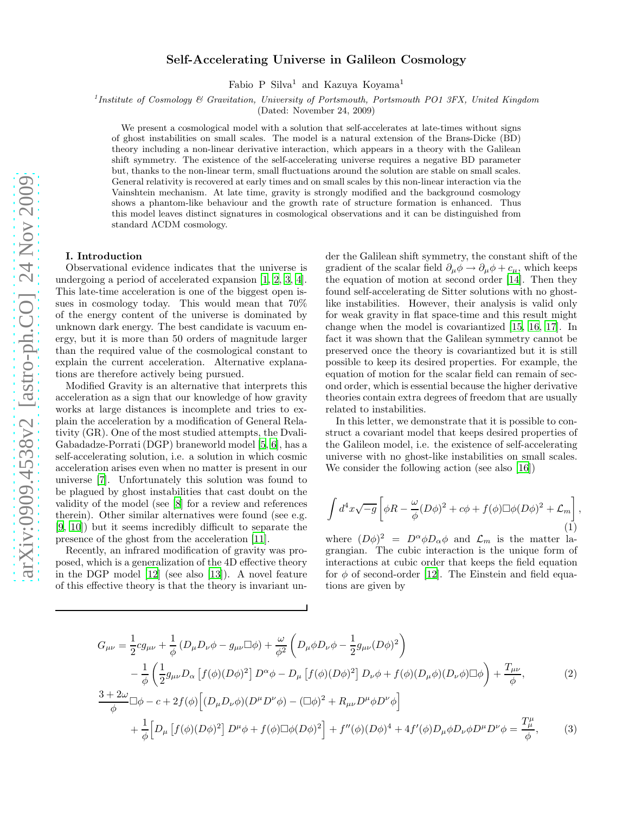# Self-Accelerating Universe in Galileon Cosmology

Fabio P Silva<sup>1</sup> and Kazuya Koyama<sup>1</sup>

<sup>1</sup> Institute of Cosmology & Gravitation, University of Portsmouth, Portsmouth PO1 3FX, United Kingdom

(Dated: November 24, 2009)

We present a cosmological model with a solution that self-accelerates at late-times without signs of ghost instabilities on small scales. The model is a natural extension of the Brans-Dicke (BD) theory including a non-linear derivative interaction, which appears in a theory with the Galilean shift symmetry. The existence of the self-accelerating universe requires a negative BD parameter but, thanks to the non-linear term, small fluctuations around the solution are stable on small scales. General relativity is recovered at early times and on small scales by this non-linear interaction via the Vainshtein mechanism. At late time, gravity is strongly modified and the background cosmology shows a phantom-like behaviour and the growth rate of structure formation is enhanced. Thus this model leaves distinct signatures in cosmological observations and it can be distinguished from standard ΛCDM cosmology.

#### I. Introduction

Observational evidence indicates that the universe is undergoing a period of accelerated expansion [\[1,](#page-3-0) [2,](#page-3-1) [3,](#page-3-2) [4\]](#page-3-3). This late-time acceleration is one of the biggest open issues in cosmology today. This would mean that 70% of the energy content of the universe is dominated by unknown dark energy. The best candidate is vacuum energy, but it is more than 50 orders of magnitude larger than the required value of the cosmological constant to explain the current acceleration. Alternative explanations are therefore actively being pursued.

Modified Gravity is an alternative that interprets this acceleration as a sign that our knowledge of how gravity works at large distances is incomplete and tries to explain the acceleration by a modification of General Relativity (GR). One of the most studied attempts, the Dvali-Gabadadze-Porrati (DGP) braneworld model [\[5,](#page-3-4) [6](#page-3-5)], has a self-accelerating solution, i.e. a solution in which cosmic acceleration arises even when no matter is present in our universe [\[7\]](#page-3-6). Unfortunately this solution was found to be plagued by ghost instabilities that cast doubt on the validity of the model (see [\[8\]](#page-3-7) for a review and references therein). Other similar alternatives were found (see e.g. [\[9,](#page-3-8) [10\]](#page-3-9)) but it seems incredibly difficult to separate the presence of the ghost from the acceleration [\[11](#page-3-10)].

Recently, an infrared modification of gravity was proposed, which is a generalization of the 4D effective theory in the DGP model [\[12\]](#page-3-11) (see also [\[13\]](#page-3-12)). A novel feature of this effective theory is that the theory is invariant under the Galilean shift symmetry, the constant shift of the gradient of the scalar field  $\partial_{\mu}\phi \rightarrow \partial_{\mu}\phi + c_{\mu}$ , which keeps the equation of motion at second order [\[14\]](#page-3-13). Then they found self-accelerating de Sitter solutions with no ghostlike instabilities. However, their analysis is valid only for weak gravity in flat space-time and this result might change when the model is covariantized [\[15](#page-4-0), [16](#page-4-1), [17\]](#page-4-2). In fact it was shown that the Galilean symmetry cannot be preserved once the theory is covariantized but it is still possible to keep its desired properties. For example, the equation of motion for the scalar field can remain of second order, which is essential because the higher derivative theories contain extra degrees of freedom that are usually related to instabilities.

In this letter, we demonstrate that it is possible to construct a covariant model that keeps desired properties of the Galileon model, i.e. the existence of self-accelerating universe with no ghost-like instabilities on small scales. We consider the following action (see also [\[16\]](#page-4-1))

$$
\int d^4x \sqrt{-g} \left[ \phi R - \frac{\omega}{\phi} (D\phi)^2 + c\phi + f(\phi) \Box \phi (D\phi)^2 + \mathcal{L}_m \right],
$$
\n(1)

<span id="page-0-1"></span><span id="page-0-0"></span>where  $(D\phi)^2 = D^{\alpha} \phi D_{\alpha} \phi$  and  $\mathcal{L}_m$  is the matter lagrangian. The cubic interaction is the unique form of interactions at cubic order that keeps the field equation for  $\phi$  of second-order [\[12\]](#page-3-11). The Einstein and field equations are given by

$$
G_{\mu\nu} = \frac{1}{2}cg_{\mu\nu} + \frac{1}{\phi}(D_{\mu}D_{\nu}\phi - g_{\mu\nu}\Box\phi) + \frac{\omega}{\phi^{2}}\left(D_{\mu}\phi D_{\nu}\phi - \frac{1}{2}g_{\mu\nu}(D\phi)^{2}\right)
$$
  

$$
-\frac{1}{\phi}\left(\frac{1}{2}g_{\mu\nu}D_{\alpha}\left[f(\phi)(D\phi)^{2}\right]D^{\alpha}\phi - D_{\mu}\left[f(\phi)(D\phi)^{2}\right]D_{\nu}\phi + f(\phi)(D_{\mu}\phi)(D_{\nu}\phi)\Box\phi\right) + \frac{T_{\mu\nu}}{\phi},
$$
(2)  

$$
\frac{3+2\omega}{\phi}\Box\phi - c + 2f(\phi)\left[(D_{\mu}D_{\nu}\phi)(D^{\mu}D^{\nu}\phi) - (\Box\phi)^{2} + R_{\mu\nu}D^{\mu}\phi D^{\nu}\phi\right]
$$
  

$$
+\frac{1}{\phi}\left[D_{\mu}\left[f(\phi)(D\phi)^{2}\right]D^{\mu}\phi + f(\phi)\Box\phi(D\phi)^{2}\right] + f''(\phi)(D\phi)^{4} + 4f'(\phi)D_{\mu}\phi D_{\nu}\phi D^{\mu}D^{\nu}\phi = \frac{T_{\mu}^{\mu}}{\phi},
$$
(3)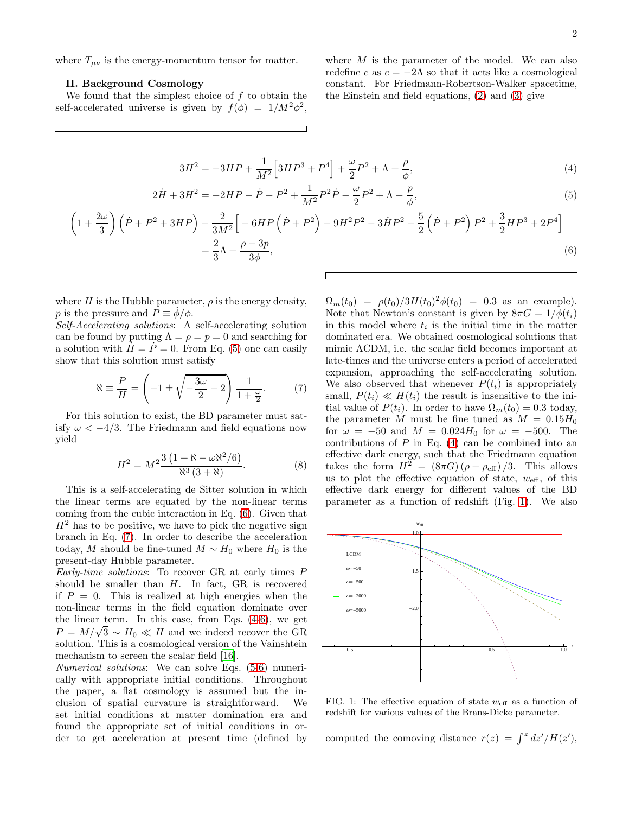where  $T_{\mu\nu}$  is the energy-momentum tensor for matter.

#### II. Background Cosmology

We found that the simplest choice of  $f$  to obtain the self-accelerated universe is given by  $f(\phi) = 1/M^2 \phi^2$ ,

 $\ddot{\cdot}$ 

<span id="page-1-3"></span>where  $M$  is the parameter of the model. We can also redefine c as  $c = -2\Lambda$  so that it acts like a cosmological constant. For Friedmann-Robertson-Walker spacetime, the Einstein and field equations, [\(2\)](#page-0-0) and [\(3\)](#page-0-1) give

$$
3H^2 = -3HP + \frac{1}{M^2} \left[ 3HP^3 + P^4 \right] + \frac{\omega}{2} P^2 + \Lambda + \frac{\rho}{\phi},\tag{4}
$$

$$
2\dot{H} + 3H^2 = -2HP - \dot{P} - P^2 + \frac{1}{M^2}P^2\dot{P} - \frac{\omega}{2}P^2 + \Lambda - \frac{p}{\phi},\tag{5}
$$

$$
\left(1+\frac{2\omega}{3}\right)\left(\dot{P}+P^2+3HP\right)-\frac{2}{3M^2}\left[-6HP\left(\dot{P}+P^2\right)-9H^2P^2-3\dot{H}P^2-\frac{5}{2}\left(\dot{P}+P^2\right)P^2+\frac{3}{2}HP^3+2P^4\right]
$$

$$
=\frac{2}{3}\Lambda+\frac{\rho-3p}{3\phi},\tag{6}
$$

where  $H$  is the Hubble parameter,  $\rho$  is the energy density, p is the pressure and  $\vec{P} \equiv \dot{\phi}/\phi$ .

Self-Accelerating solutions: A self-accelerating solution can be found by putting  $\Lambda = \rho = p = 0$  and searching for a solution with  $H = P = 0$ . From Eq. [\(5\)](#page-1-0) one can easily show that this solution must satisfy

<span id="page-1-2"></span>
$$
\aleph \equiv \frac{P}{H} = \left(-1 \pm \sqrt{-\frac{3\omega}{2} - 2}\right) \frac{1}{1 + \frac{\omega}{2}}.\tag{7}
$$

For this solution to exist, the BD parameter must satisfy  $\omega < -4/3$ . The Friedmann and field equations now yield

$$
H^{2} = M^{2} \frac{3\left(1 + \aleph - \omega \aleph^{2} / 6\right)}{\aleph^{3} (3 + \aleph)}.
$$
 (8)

This is a self-accelerating de Sitter solution in which the linear terms are equated by the non-linear terms coming from the cubic interaction in Eq. [\(6\)](#page-1-1). Given that  $H<sup>2</sup>$  has to be positive, we have to pick the negative sign branch in Eq. [\(7\)](#page-1-2). In order to describe the acceleration today, M should be fine-tuned  $M \sim H_0$  where  $H_0$  is the present-day Hubble parameter.

Early-time solutions: To recover GR at early times P should be smaller than  $H$ . In fact, GR is recovered if  $P = 0$ . This is realized at high energies when the non-linear terms in the field equation dominate over the linear term. In this case, from Eqs. [\(4](#page-1-3)[-6\)](#page-1-1), we get  $P = M/\sqrt{3} \sim H_0 \ll H$  and we indeed recover the GR solution. This is a cosmological version of the Vainshtein mechanism to screen the scalar field [\[16](#page-4-1)].

Numerical solutions: We can solve Eqs. [\(5-](#page-1-0)[6\)](#page-1-1) numerically with appropriate initial conditions. Throughout the paper, a flat cosmology is assumed but the inclusion of spatial curvature is straightforward. We set initial conditions at matter domination era and found the appropriate set of initial conditions in order to get acceleration at present time (defined by

<span id="page-1-1"></span><span id="page-1-0"></span> $\Omega_m(t_0) = \rho(t_0)/3H(t_0)^2\phi(t_0) = 0.3$  as an example). Note that Newton's constant is given by  $8\pi G = 1/\phi(t_i)$ in this model where  $t_i$  is the initial time in the matter dominated era. We obtained cosmological solutions that mimic ΛCDM, i.e. the scalar field becomes important at late-times and the universe enters a period of accelerated expansion, approaching the self-accelerating solution. We also observed that whenever  $P(t_i)$  is appropriately small,  $P(t_i) \ll H(t_i)$  the result is insensitive to the initial value of  $P(t_i)$ . In order to have  $\Omega_m(t_0) = 0.3$  today, the parameter M must be fine tuned as  $M = 0.15H_0$ for  $\omega = -50$  and  $M = 0.024H_0$  for  $\omega = -500$ . The contributions of  $P$  in Eq. [\(4\)](#page-1-3) can be combined into an effective dark energy, such that the Friedmann equation takes the form  $H^{\widetilde{2}} = (8\pi G) (\rho + \rho_{\text{eff}})/3$ . This allows us to plot the effective equation of state,  $w_{\text{eff}}$ , of this effective dark energy for different values of the BD parameter as a function of redshift (Fig. [1\)](#page-1-4). We also



<span id="page-1-4"></span>FIG. 1: The effective equation of state  $w_{\text{eff}}$  as a function of redshift for various values of the Brans-Dicke parameter.

computed the comoving distance  $r(z) = \int^z dz'/H(z')$ ,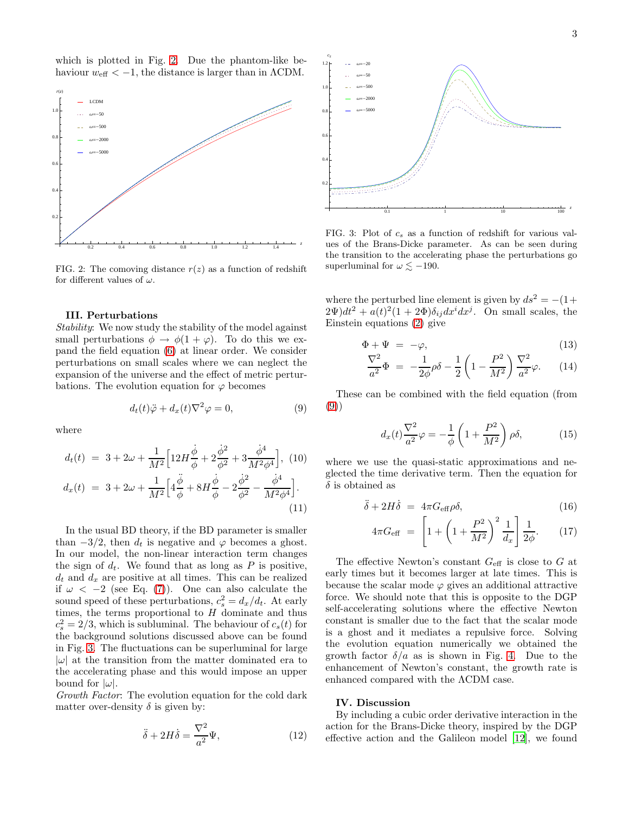which is plotted in Fig. [2.](#page-2-0) Due the phantom-like behaviour  $w_{\text{eff}} < -1$ , the distance is larger than in  $\Lambda \text{CDM}$ .



<span id="page-2-0"></span>FIG. 2: The comoving distance  $r(z)$  as a function of redshift for different values of  $\omega$ .

### III. Perturbations

Stability: We now study the stability of the model against small perturbations  $\phi \to \phi(1+\varphi)$ . To do this we expand the field equation [\(6\)](#page-1-1) at linear order. We consider perturbations on small scales where we can neglect the expansion of the universe and the effect of metric perturbations. The evolution equation for  $\varphi$  becomes

<span id="page-2-2"></span>
$$
d_t(t)\ddot{\varphi} + d_x(t)\nabla^2 \varphi = 0, \qquad (9)
$$

(11)

where

$$
d_t(t) = 3 + 2\omega + \frac{1}{M^2} \Big[ 12H \frac{\dot{\phi}}{\phi} + 2\frac{\dot{\phi}^2}{\phi^2} + 3\frac{\dot{\phi}^4}{M^2 \phi^4} \Big], (10)
$$
  

$$
d_x(t) = 3 + 2\omega + \frac{1}{M^2} \Big[ 4\frac{\ddot{\phi}}{\phi} + 8H \frac{\dot{\phi}}{\phi} - 2\frac{\dot{\phi}^2}{\phi^2} - \frac{\dot{\phi}^4}{M^2 \phi^4} \Big].
$$

In the usual BD theory, if the BD parameter is smaller than  $-3/2$ , then  $d_t$  is negative and  $\varphi$  becomes a ghost. In our model, the non-linear interaction term changes the sign of  $d_t$ . We found that as long as P is positive,  $d_t$  and  $d_x$  are positive at all times. This can be realized if  $\omega < -2$  (see Eq. [\(7\)](#page-1-2)). One can also calculate the sound speed of these perturbations,  $c_s^2 = d_x/d_t$ . At early times, the terms proportional to  $H$  dominate and thus  $c_s^2 = 2/3$ , which is subluminal. The behaviour of  $c_s(t)$  for the background solutions discussed above can be found in Fig. [3.](#page-2-1) The fluctuations can be superluminal for large  $|\omega|$  at the transition from the matter dominated era to the accelerating phase and this would impose an upper bound for  $|\omega|$ .

Growth Factor: The evolution equation for the cold dark matter over-density  $\delta$  is given by:

$$
\ddot{\delta} + 2H\dot{\delta} = \frac{\nabla^2}{a^2}\Psi,
$$
\n(12)



<span id="page-2-1"></span>FIG. 3: Plot of  $c_s$  as a function of redshift for various values of the Brans-Dicke parameter. As can be seen during the transition to the accelerating phase the perturbations go superluminal for  $\omega \lesssim -190$ .

where the perturbed line element is given by  $ds^2 = -(1+$  $(2\Psi)dt^2 + a(t)^2(1+2\Phi)\delta_{ij}dx^idx^j$ . On small scales, the Einstein equations [\(2\)](#page-0-0) give

$$
\Phi + \Psi = -\varphi, \tag{13}
$$

$$
\frac{\nabla^2}{a^2} \Phi = -\frac{1}{2\phi} \rho \delta - \frac{1}{2} \left( 1 - \frac{P^2}{M^2} \right) \frac{\nabla^2}{a^2} \varphi.
$$
 (14)

These can be combined with the field equation (from [\(9\)](#page-2-2))

$$
d_x(t)\frac{\nabla^2}{a^2}\varphi = -\frac{1}{\phi}\left(1 + \frac{P^2}{M^2}\right)\rho\delta,\tag{15}
$$

where we use the quasi-static approximations and neglected the time derivative term. Then the equation for  $\delta$  is obtained as

$$
\ddot{\delta} + 2H\dot{\delta} = 4\pi G_{\text{eff}}\rho \delta, \qquad (16)
$$

$$
4\pi G_{\text{eff}} = \left[1 + \left(1 + \frac{P^2}{M^2}\right)^2 \frac{1}{d_x}\right] \frac{1}{2\phi}.
$$
 (17)

The effective Newton's constant  $G_{\text{eff}}$  is close to G at early times but it becomes larger at late times. This is because the scalar mode  $\varphi$  gives an additional attractive force. We should note that this is opposite to the DGP self-accelerating solutions where the effective Newton constant is smaller due to the fact that the scalar mode is a ghost and it mediates a repulsive force. Solving the evolution equation numerically we obtained the growth factor  $\delta/a$  as is shown in Fig. [4.](#page-3-14) Due to the enhancement of Newton's constant, the growth rate is enhanced compared with the ΛCDM case.

## IV. Discussion

By including a cubic order derivative interaction in the action for the Brans-Dicke theory, inspired by the DGP effective action and the Galileon model [\[12](#page-3-11)], we found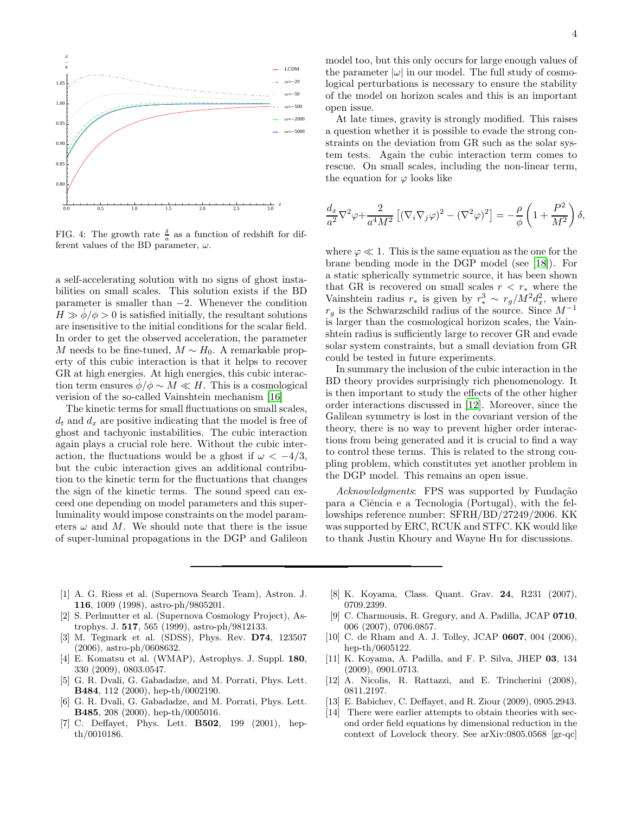

<span id="page-3-14"></span>FIG. 4: The growth rate  $\frac{\delta}{a}$  as a function of redshift for different values of the BD parameter,  $\omega$ .

a self-accelerating solution with no signs of ghost instabilities on small scales. This solution exists if the BD parameter is smaller than  $-2$ . Whenever the condition  $H \gg \phi/\phi > 0$  is satisfied initially, the resultant solutions are insensitive to the initial conditions for the scalar field. In order to get the observed acceleration, the parameter M needs to be fine-tuned,  $M \sim H_0$ . A remarkable property of this cubic interaction is that it helps to recover GR at high energies. At high energies, this cubic interaction term ensures  $\dot{\phi}/\phi \sim M \ll H$ . This is a cosmological verision of the so-called Vainshtein mechanism [\[16\]](#page-4-1)

The kinetic terms for small fluctuations on small scales,  $d_t$  and  $d_x$  are positive indicating that the model is free of ghost and tachyonic instabilities. The cubic interaction again plays a crucial role here. Without the cubic interaction, the fluctuations would be a ghost if  $\omega < -4/3$ , but the cubic interaction gives an additional contribution to the kinetic term for the fluctuations that changes the sign of the kinetic terms. The sound speed can exceed one depending on model parameters and this superluminality would impose constraints on the model parameters  $\omega$  and M. We should note that there is the issue of super-luminal propagations in the DGP and Galileon model too, but this only occurs for large enough values of the parameter  $|\omega|$  in our model. The full study of cosmological perturbations is necessary to ensure the stability of the model on horizon scales and this is an important open issue.

At late times, gravity is strongly modified. This raises a question whether it is possible to evade the strong constraints on the deviation from GR such as the solar system tests. Again the cubic interaction term comes to rescue. On small scales, including the non-linear term, the equation for  $\varphi$  looks like

$$
\frac{d_x}{a^2} \nabla^2 \varphi + \frac{2}{a^4 M^2} \left[ (\nabla_i \nabla_j \varphi)^2 - (\nabla^2 \varphi)^2 \right] = -\frac{\rho}{\phi} \left( 1 + \frac{P^2}{M^2} \right) \delta,
$$

where  $\varphi \ll 1$ . This is the same equation as the one for the brane bending mode in the DGP model (see [\[18\]](#page-4-3)). For a static spherically symmetric source, it has been shown that GR is recovered on small scales  $r < r_*$  where the Vainshtein radius  $r_*$  is given by  $r_*^3 \sim r_g/M^2 d_x^2$ , where  $r_g$  is the Schwarzschild radius of the source. Since  $M^{-1}$ is larger than the cosmological horizon scales, the Vainshtein radius is sufficiently large to recover GR and evade solar system constraints, but a small deviation from GR could be tested in future experiments.

In summary the inclusion of the cubic interaction in the BD theory provides surprisingly rich phenomenology. It is then important to study the effects of the other higher order interactions discussed in [\[12\]](#page-3-11). Moreover, since the Galilean symmetry is lost in the covariant version of the theory, there is no way to prevent higher order interactions from being generated and it is crucial to find a way to control these terms. This is related to the strong coupling problem, which constitutes yet another problem in the DGP model. This remains an open issue.

Acknowledgments: FPS was supported by Fundação para a Ciˆencia e a Tecnologia (Portugal), with the fellowships reference number: SFRH/BD/27249/2006. KK was supported by ERC, RCUK and STFC. KK would like to thank Justin Khoury and Wayne Hu for discussions.

- <span id="page-3-0"></span>[1] A. G. Riess et al. (Supernova Search Team), Astron. J. 116, 1009 (1998), astro-ph/9805201.
- <span id="page-3-1"></span>[2] S. Perlmutter et al. (Supernova Cosmology Project), Astrophys. J. 517, 565 (1999), astro-ph/9812133.
- <span id="page-3-2"></span>[3] M. Tegmark et al. (SDSS), Phys. Rev. D74, 123507 (2006), astro-ph/0608632.
- <span id="page-3-3"></span>[4] E. Komatsu et al. (WMAP), Astrophys. J. Suppl. 180, 330 (2009), 0803.0547.
- <span id="page-3-4"></span>[5] G. R. Dvali, G. Gabadadze, and M. Porrati, Phys. Lett. B484, 112 (2000), hep-th/0002190.
- <span id="page-3-5"></span>[6] G. R. Dvali, G. Gabadadze, and M. Porrati, Phys. Lett. B485, 208 (2000), hep-th/0005016.
- <span id="page-3-6"></span>[7] C. Deffayet, Phys. Lett. B502, 199 (2001), hepth/0010186.
- <span id="page-3-7"></span>[8] K. Koyama, Class. Quant. Grav. 24, R231 (2007), 0709.2399.
- <span id="page-3-8"></span>[9] C. Charmousis, R. Gregory, and A. Padilla, JCAP 0710, 006 (2007), 0706.0857.
- <span id="page-3-9"></span>[10] C. de Rham and A. J. Tolley, JCAP 0607, 004 (2006), hep-th/0605122.
- <span id="page-3-10"></span>[11] K. Koyama, A. Padilla, and F. P. Silva, JHEP 03, 134 (2009), 0901.0713.
- <span id="page-3-11"></span>[12] A. Nicolis, R. Rattazzi, and E. Trincherini (2008), 0811.2197.
- <span id="page-3-12"></span>[13] E. Babichev, C. Deffayet, and R. Ziour (2009), 0905.2943.
- <span id="page-3-13"></span>[14] There were earlier attempts to obtain theories with second order field equations by dimensional reduction in the context of Lovelock theory. See arXiv:0805.0568 [gr-qc]